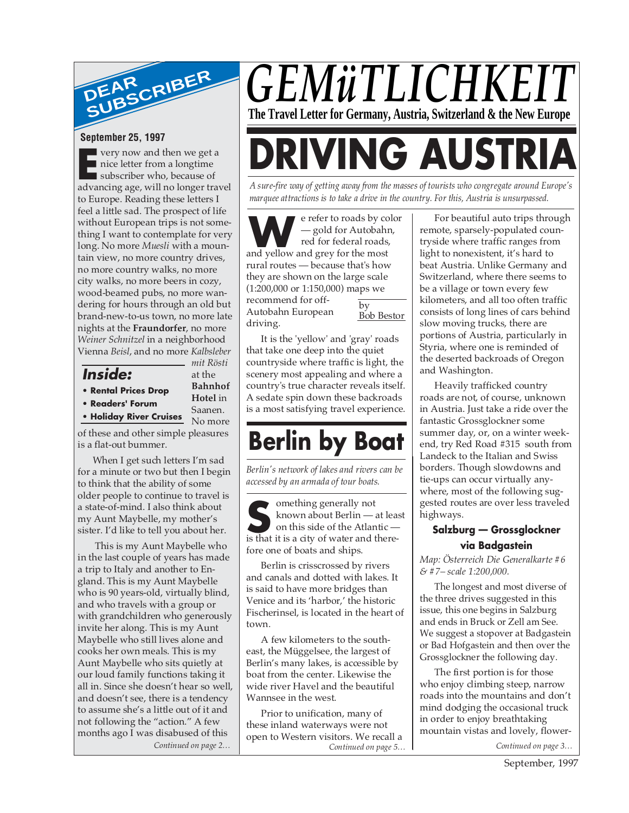

#### **September 25, 1997**

**Example 18 Second that we get**<br>
subscriber who, because of<br>
advancing age will no longer tra **very now and then we get a** nice letter from a longtime advancing age, will no longer travel to Europe. Reading these letters I feel a little sad. The prospect of life without European trips is not something I want to contemplate for very long. No more *Muesli* with a mountain view, no more country drives, no more country walks, no more city walks, no more beers in cozy, wood-beamed pubs, no more wandering for hours through an old but brand-new-to-us town, no more late nights at the **Fraundorfer**, no more *Weiner Schnitzel* in a neighborhood Vienna *Beisl*, and no more *Kalbsleber*

**Inside:**

- **Rental Prices Drop**
- **• Readers' Forum**

**• Holiday River Cruises Hotel** in Saanen. No more

*mit Rösti* at the **Bahnhof**

of these and other simple pleasures is a flat-out bummer.

When I get such letters I'm sad for a minute or two but then I begin to think that the ability of some older people to continue to travel is a state-of-mind. I also think about my Aunt Maybelle, my mother's sister. I'd like to tell you about her.

*Continued on page 2…* This is my Aunt Maybelle who in the last couple of years has made a trip to Italy and another to England. This is my Aunt Maybelle who is 90 years-old, virtually blind, and who travels with a group or with grandchildren who generously invite her along. This is my Aunt Maybelle who still lives alone and cooks her own meals. This is my Aunt Maybelle who sits quietly at our loud family functions taking it all in. Since she doesn't hear so well, and doesn't see, there is a tendency to assume she's a little out of it and not following the "action." A few months ago I was disabused of this

# *GEMüTLICHKEI* **The Travel Letter for Germany, Austria, Switzerland & the New Europe**

**DRIVING AUSTRIA**

*A sure-fire way of getting away from the masses of tourists who congregate around Europe's marquee attractions is to take a drive in the country. For this, Austria is unsurpassed.*

by e refer to roads by color — gold for Autobahn, red for federal roads, e refer to roads by comparison and yellow and grey for the most rural routes — because that's how they are shown on the large scale (1:200,000 or 1:150,000) maps we recommend for off-Autobahn European driving.

Bob Bestor

It is the 'yellow' and 'gray' roads that take one deep into the quiet countryside where traffic is light, the scenery most appealing and where a country's true character reveals itself. A sedate spin down these backroads is a most satisfying travel experience.

## **Berlin by Boat**

*Berlin's network of lakes and rivers can be accessed by an armada of tour boats.*

**S**<br>
shown about Berlin — at lease<br>
on this side of the Atlantic —<br>
is that it is a city of water and thereomething generally not known about Berlin — at least on this side of the Atlantic fore one of boats and ships.

Berlin is crisscrossed by rivers and canals and dotted with lakes. It is said to have more bridges than Venice and its 'harbor,' the historic Fischerinsel, is located in the heart of town.

A few kilometers to the southeast, the Müggelsee, the largest of Berlin's many lakes, is accessible by boat from the center. Likewise the wide river Havel and the beautiful Wannsee in the west.

Prior to unification, many of these inland waterways were not open to Western visitors. We recall a *Continued on page 5…*

For beautiful auto trips through remote, sparsely-populated countryside where traffic ranges from light to nonexistent, it's hard to beat Austria. Unlike Germany and Switzerland, where there seems to be a village or town every few kilometers, and all too often traffic consists of long lines of cars behind slow moving trucks, there are portions of Austria, particularly in Styria, where one is reminded of the deserted backroads of Oregon and Washington.

Heavily trafficked country roads are not, of course, unknown in Austria. Just take a ride over the fantastic Grossglockner some summer day, or, on a winter weekend, try Red Road #315 south from Landeck to the Italian and Swiss borders. Though slowdowns and tie-ups can occur virtually anywhere, most of the following suggested routes are over less traveled highways.

#### **Salzburg — Grossglockner via Badgastein**

*Map: Österreich Die Generalkarte #6 & #7– scale 1:200,000.*

The longest and most diverse of the three drives suggested in this issue, this one begins in Salzburg and ends in Bruck or Zell am See. We suggest a stopover at Badgastein or Bad Hofgastein and then over the Grossglockner the following day.

The first portion is for those who enjoy climbing steep, narrow roads into the mountains and don't mind dodging the occasional truck in order to enjoy breathtaking mountain vistas and lovely, flower-

*Continued on page 3…*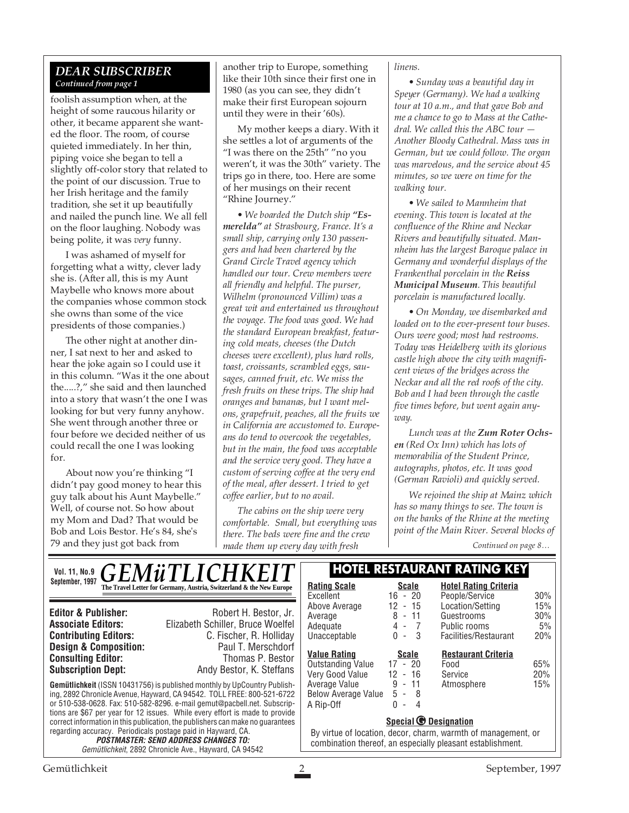#### *DEAR SUBSCRIBER Continued from page 1*

foolish assumption when, at the height of some raucous hilarity or other, it became apparent she wanted the floor. The room, of course quieted immediately. In her thin, piping voice she began to tell a slightly off-color story that related to the point of our discussion. True to her Irish heritage and the family tradition, she set it up beautifully and nailed the punch line. We all fell on the floor laughing. Nobody was being polite, it was *very* funny.

I was ashamed of myself for forgetting what a witty, clever lady she is. (After all, this is my Aunt Maybelle who knows more about the companies whose common stock she owns than some of the vice presidents of those companies.)

The other night at another dinner, I sat next to her and asked to hear the joke again so I could use it in this column. "Was it the one about the.....?," she said and then launched into a story that wasn't the one I was looking for but very funny anyhow. She went through another three or four before we decided neither of us could recall the one I was looking for.

About now you're thinking "I didn't pay good money to hear this guy talk about his Aunt Maybelle." Well, of course not. So how about my Mom and Dad? That would be Bob and Lois Bestor. He's 84, she's 79 and they just got back from

another trip to Europe, something like their 10th since their first one in 1980 (as you can see, they didn't make their first European sojourn until they were in their '60s).

My mother keeps a diary. With it she settles a lot of arguments of the "I was there on the 25th" "no you weren't, it was the 30th" variety. The trips go in there, too. Here are some of her musings on their recent "Rhine Journey."

*• We boarded the Dutch ship "Esmerelda" at Strasbourg, France. It's a small ship, carrying only 130 passengers and had been chartered by the Grand Circle Travel agency which handled our tour. Crew members were all friendly and helpful. The purser, Wilhelm (pronounced Villim) was a great wit and entertained us throughout the voyage. The food was good. We had the standard European breakfast, featuring cold meats, cheeses (the Dutch cheeses were excellent), plus hard rolls, toast, croissants, scrambled eggs, sausages, canned fruit, etc. We miss the fresh fruits on these trips. The ship had oranges and bananas, but I want melons, grapefruit, peaches, all the fruits we in California are accustomed to. Europeans do tend to overcook the vegetables, but in the main, the food was acceptable and the service very good. They have a custom of serving coffee at the very end of the meal, after dessert. I tried to get coffee earlier, but to no avail.*

*The cabins on the ship were very comfortable. Small, but everything was there. The beds were fine and the crew made them up every day with fresh*

*linens.*

*• Sunday was a beautiful day in Speyer (Germany). We had a walking tour at 10 a.m., and that gave Bob and me a chance to go to Mass at the Cathedral. We called this the ABC tour — Another Bloody Cathedral. Mass was in German, but we could follow. The organ was marvelous, and the service about 45 minutes, so we were on time for the walking tour.*

*• We sailed to Mannheim that evening. This town is located at the confluence of the Rhine and Neckar Rivers and beautifully situated. Mannheim has the largest Baroque palace in Germany and wonderful displays of the Frankenthal porcelain in the Reiss Municipal Museum. This beautiful porcelain is manufactured locally.*

*• On Monday, we disembarked and loaded on to the ever-present tour buses. Ours were good; most had restrooms. Today was Heidelberg with its glorious castle high above the city with magnificent views of the bridges across the Neckar and all the red roofs of the city. Bob and I had been through the castle five times before, but went again anyway.*

*Lunch was at the Zum Roter Ochsen (Red Ox Inn) which has lots of memorabilia of the Student Prince, autographs, photos, etc. It was good (German Ravioli) and quickly served.*

*We rejoined the ship at Mainz which has so many things to see. The town is on the banks of the Rhine at the meeting point of the Main River. Several blocks of*

*Continued on page 8…*

| <b>GEMÜTLICHKEIT</b><br><b>Vol. 11, No.9</b>                                                                                                                                                                                                                                                                         | <b>HOTEL RESTAURANT RATING KEY</b>                                   |                                                                                                                                                                 |                                                                    |                                                |           |
|----------------------------------------------------------------------------------------------------------------------------------------------------------------------------------------------------------------------------------------------------------------------------------------------------------------------|----------------------------------------------------------------------|-----------------------------------------------------------------------------------------------------------------------------------------------------------------|--------------------------------------------------------------------|------------------------------------------------|-----------|
| September, 1997                                                                                                                                                                                                                                                                                                      | The Travel Letter for Germany, Austria, Switzerland & the New Europe | <b>Rating Scale</b><br>Excellent                                                                                                                                | Scale<br>$16 - 20$                                                 | <b>Hotel Rating Criteria</b><br>People/Service | 30%       |
| <b>Editor &amp; Publisher:</b>                                                                                                                                                                                                                                                                                       | Robert H. Bestor, Jr.                                                | Above Average                                                                                                                                                   | 12<br>$-15$                                                        | Location/Setting                               | 15%       |
| <b>Associate Editors:</b>                                                                                                                                                                                                                                                                                            | Elizabeth Schiller, Bruce Woelfel                                    | Average<br>Adequate                                                                                                                                             | $8 - 11$<br>4 -<br>$\overline{7}$                                  | Guestrooms<br>Public rooms                     | 30%<br>5% |
| <b>Contributing Editors:</b>                                                                                                                                                                                                                                                                                         | C. Fischer, R. Holliday                                              | Unacceptable                                                                                                                                                    | $0 - 3$                                                            | Facilities/Restaurant                          | 20%       |
| <b>Design &amp; Composition:</b><br><b>Consulting Editor:</b>                                                                                                                                                                                                                                                        | Paul T. Merschdorf<br>Thomas P. Bestor                               | <b>Value Rating</b><br><b>Outstanding Value</b>                                                                                                                 | <b>Scale</b><br>$17 - 20$                                          | <b>Restaurant Criteria</b><br>Food             | 65%       |
| <b>Subscription Dept:</b>                                                                                                                                                                                                                                                                                            | Andy Bestor, K. Steffans                                             | Very Good Value                                                                                                                                                 | $12 - 16$                                                          | Service                                        | 20%       |
| <b>Gemütlichkeit</b> (ISSN 10431756) is published monthly by UpCountry Publish-<br>ing, 2892 Chronicle Avenue, Hayward, CA 94542. TOLL FREE: 800-521-6722<br>or 510-538-0628. Fax: 510-582-8296. e-mail gemut@pacbell.net. Subscrip-<br>tions are \$67 per year for 12 issues. While every effort is made to provide |                                                                      | Average Value<br><b>Below Average Value</b><br>A Rip-Off                                                                                                        | $9 - 11$<br>$5 - 8$<br>$\Omega$<br>- 4<br>$\overline{\phantom{a}}$ | Atmosphere                                     | 15%       |
| correct information in this publication, the publishers can make no quarantees<br>regarding accuracy. Periodicals postage paid in Hayward, CA.<br><b>POSTMASTER: SEND ADDRESS CHANGES TO:</b><br>Gemütlichkeit, 2892 Chronicle Ave., Hayward, CA 94542                                                               |                                                                      | Special <sup>O</sup> Designation<br>By virtue of location, decor, charm, warmth of management, or<br>combination thereof, an especially pleasant establishment. |                                                                    |                                                |           |
| Gemütlichkeit<br>September, 1997                                                                                                                                                                                                                                                                                     |                                                                      |                                                                                                                                                                 |                                                                    |                                                |           |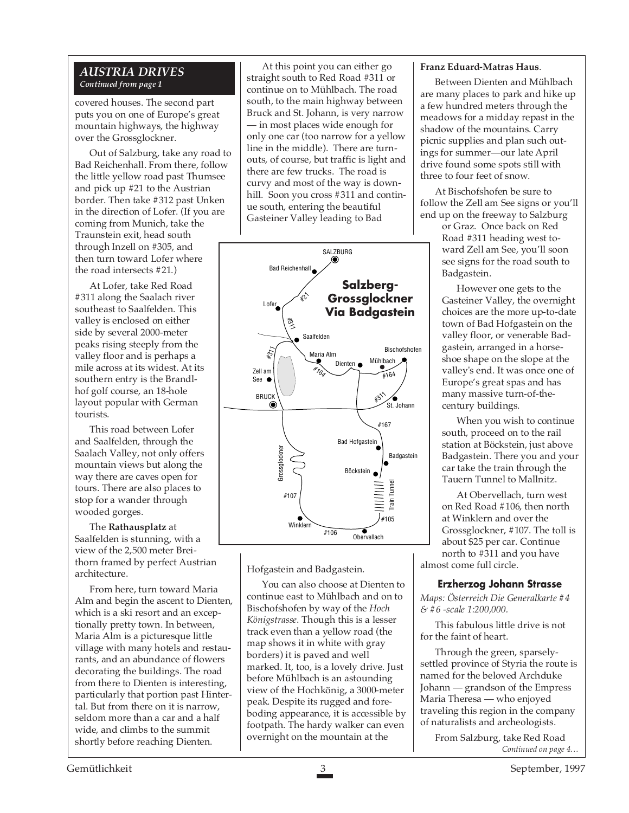#### *AUSTRIA DRIVES Continued from page 1*

covered houses. The second part puts you on one of Europe's great mountain highways, the highway over the Grossglockner.

Out of Salzburg, take any road to Bad Reichenhall. From there, follow the little yellow road past Thumsee and pick up #21 to the Austrian border. Then take #312 past Unken in the direction of Lofer. (If you are coming from Munich, take the Traunstein exit, head south through Inzell on #305, and then turn toward Lofer where the road intersects #21.)

At Lofer, take Red Road #311 along the Saalach river southeast to Saalfelden. This valley is enclosed on either side by several 2000-meter peaks rising steeply from the valley floor and is perhaps a mile across at its widest. At its southern entry is the Brandlhof golf course, an 18-hole layout popular with German tourists.

This road between Lofer and Saalfelden, through the Saalach Valley, not only offers mountain views but along the way there are caves open for tours. There are also places to stop for a wander through wooded gorges.

The **Rathausplatz** at Saalfelden is stunning, with a view of the 2,500 meter Breithorn framed by perfect Austrian architecture.

From here, turn toward Maria Alm and begin the ascent to Dienten, which is a ski resort and an exceptionally pretty town. In between, Maria Alm is a picturesque little village with many hotels and restaurants, and an abundance of flowers decorating the buildings. The road from there to Dienten is interesting, particularly that portion past Hintertal. But from there on it is narrow, seldom more than a car and a half wide, and climbs to the summit shortly before reaching Dienten.

At this point you can either go straight south to Red Road #311 or continue on to Mühlbach. The road south, to the main highway between Bruck and St. Johann, is very narrow — in most places wide enough for only one car (too narrow for a yellow line in the middle). There are turnouts, of course, but traffic is light and there are few trucks. The road is curvy and most of the way is downhill. Soon you cross #311 and continue south, entering the beautiful Gasteiner Valley leading to Bad



Hofgastein and Badgastein.

You can also choose at Dienten to continue east to Mühlbach and on to Bischofshofen by way of the *Hoch Königstrasse*. Though this is a lesser track even than a yellow road (the map shows it in white with gray borders) it is paved and well marked. It, too, is a lovely drive. Just before Mühlbach is an astounding view of the Hochkönig, a 3000-meter peak. Despite its rugged and foreboding appearance, it is accessible by footpath. The hardy walker can even overnight on the mountain at the

#### **Franz Eduard-Matras Haus**.

Between Dienten and Mühlbach are many places to park and hike up a few hundred meters through the meadows for a midday repast in the shadow of the mountains. Carry picnic supplies and plan such outings for summer—our late April drive found some spots still with three to four feet of snow.

At Bischofshofen be sure to follow the Zell am See signs or you'll end up on the freeway to Salzburg

or Graz. Once back on Red Road #311 heading west toward Zell am See, you'll soon see signs for the road south to Badgastein.

However one gets to the Gasteiner Valley, the overnight choices are the more up-to-date town of Bad Hofgastein on the valley floor, or venerable Badgastein, arranged in a horseshoe shape on the slope at the valley's end. It was once one of Europe's great spas and has many massive turn-of-thecentury buildings.

When you wish to continue south, proceed on to the rail station at Böckstein, just above Badgastein. There you and your car take the train through the Tauern Tunnel to Mallnitz.

At Obervellach, turn west on Red Road #106, then north at Winklern and over the Grossglockner, #107. The toll is about \$25 per car. Continue north to #311 and you have almost come full circle.

#### **Erzherzog Johann Strasse**

*Maps: Österreich Die Generalkarte #4 & #6 -scale 1:200,000.*

This fabulous little drive is not for the faint of heart.

Through the green, sparselysettled province of Styria the route is named for the beloved Archduke Johann — grandson of the Empress Maria Theresa — who enjoyed traveling this region in the company of naturalists and archeologists.

*Continued on page 4…* From Salzburg, take Red Road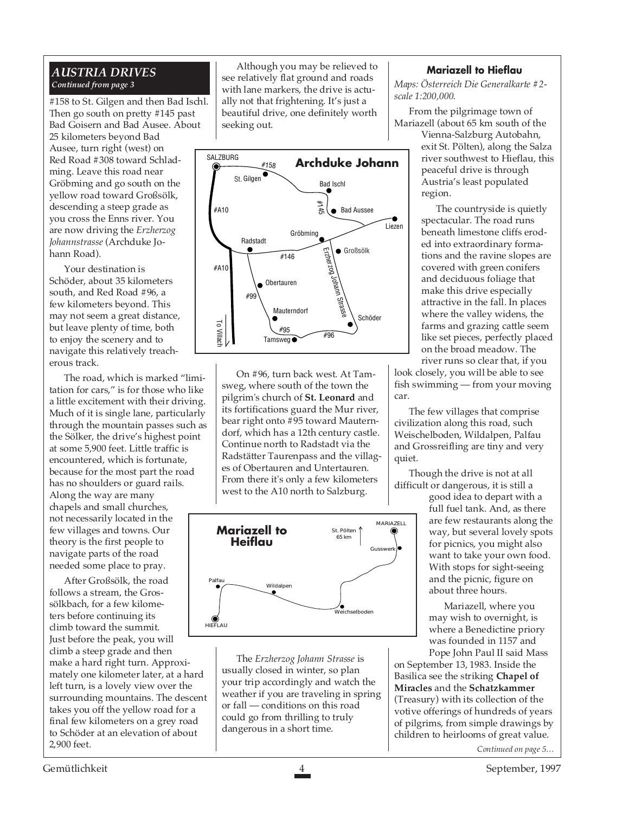### *AUSTRIA DRIVES Continued from page 3*

#158 to St. Gilgen and then Bad Ischl. Then go south on pretty #145 past Bad Goisern and Bad Ausee. About 25 kilometers beyond Bad Ausee, turn right (west) on Red Road #308 toward Schladming. Leave this road near Gröbming and go south on the yellow road toward Großsölk, descending a steep grade as you cross the Enns river. You are now driving the *Erzherzog Johannstrasse* (Archduke Johann Road).

Your destination is Schöder, about 35 kilometers south, and Red Road #96, a few kilometers beyond. This may not seem a great distance, but leave plenty of time, both to enjoy the scenery and to navigate this relatively treacherous track.

The road, which is marked "limitation for cars," is for those who like a little excitement with their driving. Much of it is single lane, particularly through the mountain passes such as the Sölker, the drive's highest point at some 5,900 feet. Little traffic is encountered, which is fortunate, because for the most part the road has no shoulders or guard rails. Along the way are many chapels and small churches, not necessarily located in the few villages and towns. Our theory is the first people to navigate parts of the road needed some place to pray.

After Großsölk, the road follows a stream, the Grossölkbach, for a few kilometers before continuing its climb toward the summit. Just before the peak, you will climb a steep grade and then make a hard right turn. Approximately one kilometer later, at a hard left turn, is a lovely view over the surrounding mountains. The descent takes you off the yellow road for a final few kilometers on a grey road to Schöder at an elevation of about 2,900 feet.

Although you may be relieved to see relatively flat ground and roads with lane markers, the drive is actually not that frightening. It's just a beautiful drive, one definitely worth seeking out.



On #96, turn back west. At Tamsweg, where south of the town the pilgrim's church of **St. Leonard** and its fortifications guard the Mur river, bear right onto #95 toward Mauterndorf, which has a 12th century castle. Continue north to Radstadt via the Radstätter Taurenpass and the villages of Obertauren and Untertauren. From there it's only a few kilometers west to the A10 north to Salzburg.



The *Erzherzog Johann Strasse* is usually closed in winter, so plan your trip accordingly and watch the weather if you are traveling in spring or fall — conditions on this road could go from thrilling to truly dangerous in a short time.

#### **Mariazell to Hieflau**

*Maps: Österreich Die Generalkarte #2 scale 1:200,000.*

From the pilgrimage town of Mariazell (about 65 km south of the

Vienna-Salzburg Autobahn, exit St. Pölten), along the Salza river southwest to Hieflau, this peaceful drive is through Austria's least populated region.

The countryside is quietly spectacular. The road runs beneath limestone cliffs eroded into extraordinary formations and the ravine slopes are covered with green conifers and deciduous foliage that make this drive especially attractive in the fall. In places where the valley widens, the farms and grazing cattle seem like set pieces, perfectly placed on the broad meadow. The river runs so clear that, if you

look closely, you will be able to see fish swimming — from your moving car.

The few villages that comprise civilization along this road, such Weischelboden, Wildalpen, Palfau and Grossreifling are tiny and very quiet.

Though the drive is not at all difficult or dangerous, it is still a

good idea to depart with a full fuel tank. And, as there are few restaurants along the way, but several lovely spots for picnics, you might also want to take your own food. With stops for sight-seeing and the picnic, figure on about three hours.

Mariazell, where you may wish to overnight, is where a Benedictine priory was founded in 1157 and Pope John Paul II said Mass

on September 13, 1983. Inside the Basilica see the striking **Chapel of Miracles** and the **Schatzkammer** (Treasury) with its collection of the votive offerings of hundreds of years of pilgrims, from simple drawings by children to heirlooms of great value.

*Continued on page 5…*

Gemütlichkeit 4 September, 1997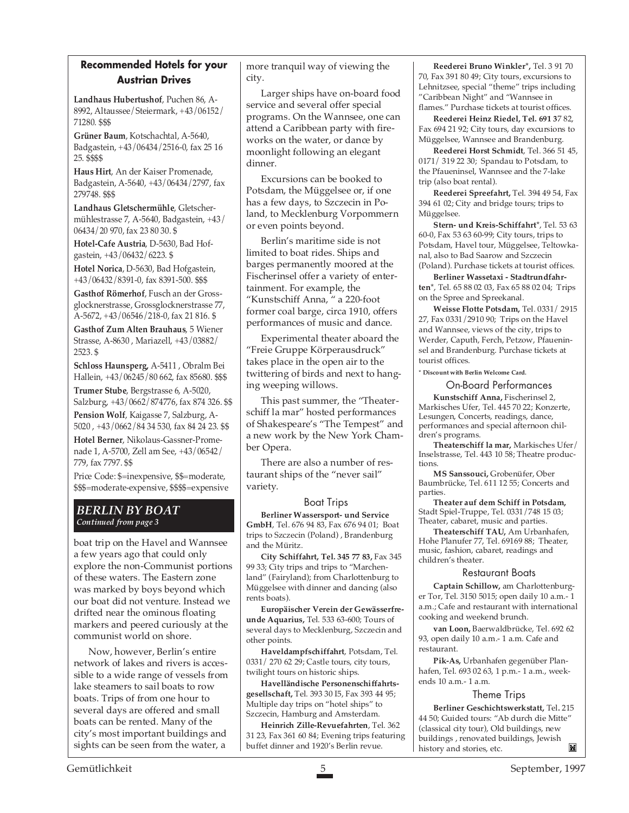### **Recommended Hotels for your Austrian Drives**

**Landhaus Hubertushof**, Puchen 86, A-8992, Altaussee/Steiermark, +43/06152/ 71280. \$\$\$

**Grüner Baum**, Kotschachtal, A-5640, Badgastein, +43/06434/2516-0, fax 25 16 25. \$\$\$\$

**Haus Hirt**, An der Kaiser Promenade, Badgastein, A-5640, +43/06434/2797, fax 279748. \$\$\$

**Landhaus Gletschermühle**, Gletschermühlestrasse 7, A-5640, Badgastein, +43/ 06434/20 970, fax 23 80 30. \$

**Hotel-Cafe Austria**, D-5630, Bad Hofgastein, +43/06432/6223. \$

**Hotel Norica**, D-5630, Bad Hofgastein, +43/06432/8391-0, fax 8391-500. \$\$\$

**Gasthof Römerhof**, Fusch an der Grossglocknerstrasse, Grossglocknerstrasse 77, A-5672, +43/06546/218-0, fax 21 816. \$

**Gasthof Zum Alten Brauhaus**, 5 Wiener Strasse, A-8630 , Mariazell, +43/03882/ 2523. \$

**Schloss Haunsperg,** A-5411 , Obralm Bei Hallein, +43/06245/80 662, fax 85680. \$\$\$ **Trumer Stube**, Bergstrasse 6, A-5020, Salzburg, +43/0662/874776, fax 874 326. \$\$ **Pension Wolf**, Kaigasse 7, Salzburg, A-

5020 , +43/0662/84 34 530, fax 84 24 23. \$\$ **Hotel Berner**, Nikolaus-Gassner-Promenade 1, A-5700, Zell am See, +43/06542/

779, fax 7797. \$\$ Price Code: \$=inexpensive, \$\$=moderate,

\$\$\$=moderate-expensive, \$\$\$\$=expensive

#### *BERLIN BY BOAT Continued from page 3*

boat trip on the Havel and Wannsee a few years ago that could only explore the non-Communist portions of these waters. The Eastern zone was marked by boys beyond which our boat did not venture. Instead we drifted near the ominous floating markers and peered curiously at the communist world on shore.

Now, however, Berlin's entire network of lakes and rivers is accessible to a wide range of vessels from lake steamers to sail boats to row boats. Trips of from one hour to several days are offered and small boats can be rented. Many of the city's most important buildings and sights can be seen from the water, a

more tranquil way of viewing the city.

Larger ships have on-board food service and several offer special programs. On the Wannsee, one can attend a Caribbean party with fireworks on the water, or dance by moonlight following an elegant dinner.

Excursions can be booked to Potsdam, the Müggelsee or, if one has a few days, to Szczecin in Poland, to Mecklenburg Vorpommern or even points beyond.

Berlin's maritime side is not limited to boat rides. Ships and barges permanently moored at the Fischerinsel offer a variety of entertainment. For example, the "Kunstschiff Anna, " a 220-foot former coal barge, circa 1910, offers performances of music and dance.

Experimental theater aboard the "Freie Gruppe Körperausdruck" takes place in the open air to the twittering of birds and next to hanging weeping willows.

This past summer, the "Theaterschiff la mar" hosted performances of Shakespeare's "The Tempest" and a new work by the New York Chamber Opera.

There are also a number of restaurant ships of the "never sail" variety.

#### Boat Trips

**Berliner Wassersport- und Service GmbH**, Tel. 676 94 83, Fax 676 94 01; Boat trips to Szczecin (Poland) , Brandenburg and the Müritz.

**City Schiffahrt, Tel. 345 77 83,** Fax 345 99 33; City trips and trips to "Marchenland" (Fairyland); from Charlottenburg to Müggelsee with dinner and dancing (also rents boats).

**Europäischer Verein der Gewässerfreunde Aquarius,** Tel. 533 63-600; Tours of several days to Mecklenburg, Szczecin and other points.

**Haveldampfschiffahrt**, Potsdam, Tel. 0331/ 270 62 29; Castle tours, city tours, twilight tours on historic ships.

**Havelländische Personenschiffahrtsgesellschaft,** Tel. 393 30 I5, Fax 393 44 95; Multiple day trips on "hotel ships" to Szczecin, Hamburg and Amsterdam.

**Heinrich Zille-Revuefahrten**, Tel. 362 31 23, Fax 361 60 84; Evening trips featuring buffet dinner and 1920's Berlin revue.

**Reederei Bruno Winkler\*,** Tel. 3 91 70 70, Fax 391 80 49; City tours, excursions to Lehnitzsee, special "theme" trips including "Caribbean Night" and "Wannsee in flames." Purchase tickets at tourist offices.

**Reederei Heinz Riedel, Tel. 691 3**7 82, Fax 694 21 92; City tours, day excursions to Müggelsee, Wannsee and Brandenburg.

**Reederei Horst Schmidt**, Tel. 366 51 45, 0171/ 319 22 30; Spandau to Potsdam, to the Pfaueninsel, Wannsee and the 7-lake trip (also boat rental).

**Reederei Spreefahrt,** Tel. 394 49 54, Fax 394 61 02; City and bridge tours; trips to Müggelsee.

**Stern- und Kreis-Schiffahrt**\*, Tel. 53 63 60-0, Fax 53 63 60-99; City tours, trips to Potsdam, Havel tour, Müggelsee, Teltowkanal, also to Bad Saarow and Szczecin (Poland). Purchase tickets at tourist offices.

**Berliner Wassetaxi - Stadtrundfahrten**\*, Tel. 65 88 02 03, Fax 65 88 02 04; Trips on the Spree and Spreekanal.

**Weisse Flotte Potsdam,** Tel. 0331/ 2915 27, Fax 0331/2910 90; Trips on the Havel and Wannsee, views of the city, trips to Werder, Caputh, Ferch, Petzow, Pfaueninsel and Brandenburg. Purchase tickets at tourist offices.

**\* Discount with Berlin Welcome Card.**

On-Board Performances **Kunstschiff Anna,** Fischerinsel 2,

Markisches Ufer, Tel. 445 70 22; Konzerte, Lesungen, Concerts, readings, dance, performances and special afternoon children's programs.

**Theaterschiff la mar,** Markisches Ufer/ Inselstrasse, Tel. 443 10 58; Theatre productions.

**MS Sanssouci,** Grobenüfer, Ober Baumbrücke, Tel. 611 12 55; Concerts and parties.

**Theater auf dem Schiff in Potsdam,** Stadt Spiel-Truppe, Tel. 0331/748 15 03; Theater, cabaret, music and parties.

**Theaterschiff TAU,** Am Urbanhafen, Hohe Planufer 77, Tel. 69169 88; Theater, music, fashion, cabaret, readings and children's theater.

#### Restaurant Boats

**Captain Schillow,** am Charlottenburger Tor, Tel. 3150 5015; open daily 10 a.m.- 1 a.m.; Cafe and restaurant with international cooking and weekend brunch.

**van Loon,** Baerwaldbrücke, Tel. 692 62 93, open daily 10 a.m.- 1 a.m. Cafe and restaurant.

**Pik-As,** Urbanhafen gegenüber Planhafen, Tel. 693 02 63, 1 p.m.- 1 a.m., weekends 10 a.m.- 1 a.m.

#### Theme Trips

**Berliner Geschichtswerkstatt,** Tel**.** 215 44 50; Guided tours: "Ab durch die Mitte" (classical city tour), Old buildings, new buildings , renovated buildings, Jewish M history and stories, etc.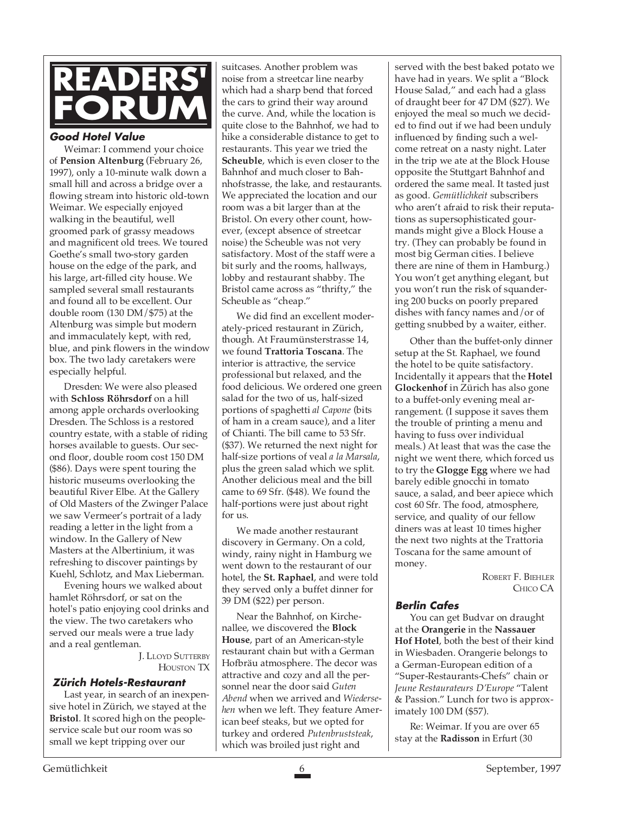

#### **Good Hotel Value**

Weimar: I commend your choice of **Pension Altenburg** (February 26, 1997), only a 10-minute walk down a small hill and across a bridge over a flowing stream into historic old-town Weimar. We especially enjoyed walking in the beautiful, well groomed park of grassy meadows and magnificent old trees. We toured Goethe's small two-story garden house on the edge of the park, and his large, art-filled city house. We sampled several small restaurants and found all to be excellent. Our double room (130 DM/\$75) at the Altenburg was simple but modern and immaculately kept, with red, blue, and pink flowers in the window box. The two lady caretakers were especially helpful.

Dresden: We were also pleased with **Schloss Röhrsdorf** on a hill among apple orchards overlooking Dresden. The Schloss is a restored country estate, with a stable of riding horses available to guests. Our second floor, double room cost 150 DM (\$86). Days were spent touring the historic museums overlooking the beautiful River Elbe. At the Gallery of Old Masters of the Zwinger Palace we saw Vermeer's portrait of a lady reading a letter in the light from a window. In the Gallery of New Masters at the Albertinium, it was refreshing to discover paintings by Kuehl, Schlotz, and Max Lieberman.

Evening hours we walked about hamlet Röhrsdorf, or sat on the hotel's patio enjoying cool drinks and the view. The two caretakers who served our meals were a true lady and a real gentleman.

> J. LLOYD SUTTERBY HOUSTON TX

#### **Zürich Hotels-Restaurant**

Last year, in search of an inexpensive hotel in Zürich, we stayed at the **Bristol**. It scored high on the peopleservice scale but our room was so small we kept tripping over our

suitcases. Another problem was noise from a streetcar line nearby which had a sharp bend that forced the cars to grind their way around the curve. And, while the location is quite close to the Bahnhof, we had to hike a considerable distance to get to restaurants. This year we tried the **Scheuble**, which is even closer to the Bahnhof and much closer to Bahnhofstrasse, the lake, and restaurants. We appreciated the location and our room was a bit larger than at the Bristol. On every other count, however, (except absence of streetcar noise) the Scheuble was not very satisfactory. Most of the staff were a bit surly and the rooms, hallways, lobby and restaurant shabby. The Bristol came across as "thrifty," the Scheuble as "cheap."

We did find an excellent moderately-priced restaurant in Zürich, though. At Fraumünsterstrasse 14, we found **Trattoria Toscana**. The interior is attractive, the service professional but relaxed, and the food delicious. We ordered one green salad for the two of us, half-sized portions of spaghetti *al Capone* (bits of ham in a cream sauce), and a liter of Chianti. The bill came to 53 Sfr. (\$37). We returned the next night for half-size portions of veal *a la Marsala*, plus the green salad which we split. Another delicious meal and the bill came to 69 Sfr. (\$48). We found the half-portions were just about right for us.

We made another restaurant discovery in Germany. On a cold, windy, rainy night in Hamburg we went down to the restaurant of our hotel, the **St. Raphael**, and were told they served only a buffet dinner for 39 DM (\$22) per person.

Near the Bahnhof, on Kirchenallee, we discovered the **Block House**, part of an American-style restaurant chain but with a German Hofbräu atmosphere. The decor was attractive and cozy and all the personnel near the door said *Guten Abend* when we arrived and *Wiedersehen* when we left. They feature American beef steaks, but we opted for turkey and ordered *Putenbruststeak*, which was broiled just right and

served with the best baked potato we have had in years. We split a "Block House Salad," and each had a glass of draught beer for 47 DM (\$27). We enjoyed the meal so much we decided to find out if we had been unduly influenced by finding such a welcome retreat on a nasty night. Later in the trip we ate at the Block House opposite the Stuttgart Bahnhof and ordered the same meal. It tasted just as good. *Gemütlichkeit* subscribers who aren't afraid to risk their reputations as supersophisticated gourmands might give a Block House a try. (They can probably be found in most big German cities. I believe there are nine of them in Hamburg.) You won't get anything elegant, but you won't run the risk of squandering 200 bucks on poorly prepared dishes with fancy names and/or of getting snubbed by a waiter, either.

Other than the buffet-only dinner setup at the St. Raphael, we found the hotel to be quite satisfactory. Incidentally it appears that the **Hotel Glockenhof** in Zürich has also gone to a buffet-only evening meal arrangement. (I suppose it saves them the trouble of printing a menu and having to fuss over individual meals.) At least that was the case the night we went there, which forced us to try the **Glogge Egg** where we had barely edible gnocchi in tomato sauce, a salad, and beer apiece which cost 60 Sfr. The food, atmosphere, service, and quality of our fellow diners was at least 10 times higher the next two nights at the Trattoria Toscana for the same amount of money.

> ROBERT F. BIEHLER CHICO CA

#### **Berlin Cafes**

You can get Budvar on draught at the **Orangerie** in the **Nassauer Hof Hotel**, both the best of their kind in Wiesbaden. Orangerie belongs to a German-European edition of a "Super-Restaurants-Chefs" chain or *Jeune Restaurateurs D'Europe* "Talent & Passion." Lunch for two is approximately 100 DM (\$57).

Re: Weimar. If you are over 65 stay at the **Radisson** in Erfurt (30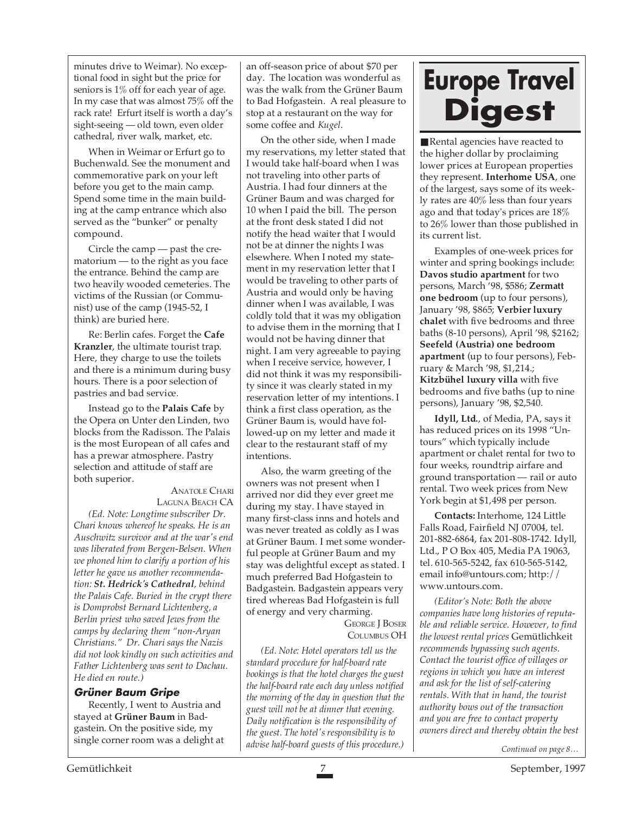minutes drive to Weimar). No exceptional food in sight but the price for seniors is 1% off for each year of age. In my case that was almost 75% off the rack rate! Erfurt itself is worth a day's sight-seeing — old town, even older cathedral, river walk, market, etc.

When in Weimar or Erfurt go to Buchenwald. See the monument and commemorative park on your left before you get to the main camp. Spend some time in the main building at the camp entrance which also served as the "bunker" or penalty compound.

Circle the camp — past the crematorium — to the right as you face the entrance. Behind the camp are two heavily wooded cemeteries. The victims of the Russian (or Communist) use of the camp (1945-52, I think) are buried here.

Re: Berlin cafes. Forget the **Cafe Kranzler**, the ultimate tourist trap. Here, they charge to use the toilets and there is a minimum during busy hours. There is a poor selection of pastries and bad service.

Instead go to the **Palais Cafe** by the Opera on Unter den Linden, two blocks from the Radisson. The Palais is the most European of all cafes and has a prewar atmosphere. Pastry selection and attitude of staff are both superior.

#### ANATOLE CHARI LAGUNA BEACH CA

*(Ed. Note: Longtime subscriber Dr. Chari knows whereof he speaks. He is an Auschwitz survivor and at the war's end was liberated from Bergen-Belsen. When we phoned him to clarify a portion of his letter he gave us another recommendation: St. Hedrick's Cathedral, behind the Palais Cafe. Buried in the crypt there is Domprobst Bernard Lichtenberg, a Berlin priest who saved Jews from the camps by declaring them "non-Aryan Christians." Dr. Chari says the Nazis did not look kindly on such activities and Father Lichtenberg was sent to Dachau. He died en route.)*

#### **Grüner Baum Gripe**

Recently, I went to Austria and stayed at **Grüner Baum** in Badgastein. On the positive side, my single corner room was a delight at

an off-season price of about \$70 per day. The location was wonderful as was the walk from the Grüner Baum to Bad Hofgastein. A real pleasure to stop at a restaurant on the way for some coffee and *Kugel*.

On the other side, when I made my reservations, my letter stated that I would take half-board when I was not traveling into other parts of Austria. I had four dinners at the Grüner Baum and was charged for 10 when I paid the bill. The person at the front desk stated I did not notify the head waiter that I would not be at dinner the nights I was elsewhere. When I noted my statement in my reservation letter that I would be traveling to other parts of Austria and would only be having dinner when I was available, I was coldly told that it was my obligation to advise them in the morning that I would not be having dinner that night. I am very agreeable to paying when I receive service, however, I did not think it was my responsibility since it was clearly stated in my reservation letter of my intentions. I think a first class operation, as the Grüner Baum is, would have followed-up on my letter and made it clear to the restaurant staff of my intentions.

Also, the warm greeting of the owners was not present when I arrived nor did they ever greet me during my stay. I have stayed in many first-class inns and hotels and was never treated as coldly as I was at Grüner Baum. I met some wonderful people at Grüner Baum and my stay was delightful except as stated. I much preferred Bad Hofgastein to Badgastein. Badgastein appears very tired whereas Bad Hofgastein is full of energy and very charming. **GEORGE I BOSER** 

COLUMBUS OH

*(Ed. Note: Hotel operators tell us the standard procedure for half-board rate bookings is that the hotel charges the guest the half-board rate each day unless notified the morning of the day in question that the guest will not be at dinner that evening. Daily notification is the responsibility of the guest. The hotel's responsibility is to advise half-board guests of this procedure.)*

# **Europe Travel Digest**

■ Rental agencies have reacted to the higher dollar by proclaiming lower prices at European properties they represent. **Interhome USA**, one of the largest, says some of its weekly rates are 40% less than four years ago and that today's prices are 18% to 26% lower than those published in its current list.

Examples of one-week prices for winter and spring bookings include: **Davos studio apartment** for two persons, March '98, \$586; **Zermatt one bedroom** (up to four persons), January '98, \$865; **Verbier luxury chalet** with five bedrooms and three baths (8-10 persons), April '98, \$2162; **Seefeld (Austria) one bedroom apartment** (up to four persons), February & March '98, \$1,214.; **Kitzbühel luxury villa** with five bedrooms and five baths (up to nine persons), January '98, \$2,540.

**Idyll, Ltd.**, of Media, PA, says it has reduced prices on its 1998 "Untours" which typically include apartment or chalet rental for two to four weeks, roundtrip airfare and ground transportation — rail or auto rental. Two week prices from New York begin at \$1,498 per person.

**Contacts:** Interhome, 124 Little Falls Road, Fairfield NJ 07004, tel. 201-882-6864, fax 201-808-1742. Idyll, Ltd., P O Box 405, Media PA 19063, tel. 610-565-5242, fax 610-565-5142, email info@untours.com; http:// www.untours.com.

*(Editor's Note: Both the above companies have long histories of reputable and reliable service. However, to find the lowest rental prices* Gemütlichkeit *recommends bypassing such agents. Contact the tourist office of villages or regions in which you have an interest and ask for the list of self-catering rentals. With that in hand, the tourist authority bows out of the transaction and you are free to contact property owners direct and thereby obtain the best*

*Continued on page 8…*